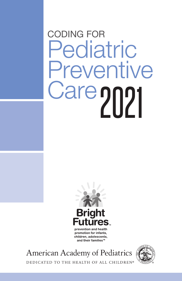# CODING FOR **Pediatric** Preventive Care 2021



prevention and health promotion for infants, children, adolescents, and their families™

**American Academy of Pediatrics** 



DEDICATED TO THE HEALTH OF ALL CHILDREN®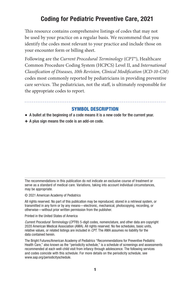# Coding for Pediatric Preventive Care, 2021

This resource contains comprehensive listings of codes that may not be used by your practice on a regular basis. We recommend that you identify the codes most relevant to your practice and include those on your encounter form or billing sheet.

Following are the *Current Procedural Terminology* (*CPT*®), Healthcare Common Procedure Coding System (HCPCS) Level II, and *International Classification of Diseases, 10th Revision, Clinical Modification* (*ICD-10-CM*) codes most commonly reported by pediatricians in providing preventive care services. The pediatrician, not the staff, is ultimately responsible for the appropriate codes to report.

## SYMBOL DESCRIPTION

- A bullet at the beginning of a code means it is a new code for the current year.
- + A plus sign means the code is an add-on code.

The recommendations in this publication do not indicate an exclusive course of treatment or serve as a standard of medical care. Variations, taking into account individual circumstances, may be appropriate.

© 2021 American Academy of Pediatrics

All rights reserved. No part of this publication may be reproduced, stored in a retrieval system, or transmitted in any form or by any means—electronic, mechanical, photocopying, recording, or otherwise—without prior written permission from the publisher.

Printed in the United States of America

*Current Procedural Terminology* (*CPT*®) 5-digit codes, nomenclature, and other data are copyright 2020 American Medical Association (AMA). All rights reserved. No fee schedules, basic units, relative values, or related listings are included in *CPT*. The AMA assumes no liability for the data contained herein.

The Bright Futures/American Academy of Pediatrics "Recommendations for Preventive Pediatric Health Care," also known as the "periodicity schedule," is a schedule of screenings and assessments recommended at each well-child visit from infancy through adolescence. The following services and codes coincide with this schedule. For more details on the periodicity schedule, see [www.aap.org/periodicityschedule.](https://www.aap.org/en-us/professional-resources/practice-transformation/managing-patients/Pages/Periodicity-Schedule.aspx)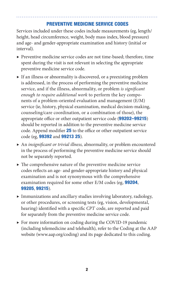## PREVENTIVE MEDICINE SERVICE CODES

Services included under these codes include measurements (eg, length/ height, head circumference, weight, body mass index, blood pressure) and age- and gender-appropriate examination and history (initial or interval).

- ▶ Preventive medicine service codes are not time-based; therefore, time spent during the visit is not relevant in selecting the appropriate preventive medicine service code.
- ▶ If an illness or abnormality is discovered, or a preexisting problem is addressed, in the process of performing the preventive medicine service, and if the illness, abnormality, or problem *is significant enough to require additional work* to perform the key components of a problem-oriented evaluation and management (E/M) service (ie, history, physical examination, medical decision-making, counseling/care coordination, or a combination of those), the appropriate office or other outpatient service code (**99202–99215**) should be reported in addition to the preventive medicine service code. Append modifier 25 to the office or other outpatient service code (eg, 99392 and 99213 25).
- ▶ An *insignificant or trivial illness,* abnormality, or problem encountered in the process of performing the preventive medicine service should not be separately reported.
- $\blacktriangleright$  The comprehensive nature of the preventive medicine service codes reflects an age- and gender-appropriate history and physical examination and is not synonymous with the comprehensive examination required for some other E/M codes (eg, 99204, 99205, 99215).
- ▶ Immunizations and ancillary studies involving laboratory, radiology, or other procedures, or screening tests (eg, vision, developmental, hearing) identified with a specific *CPT* code, are reported and paid for separately from the preventive medicine service code.
- ▶ For more information on coding during the COVID-19 pandemic (including telemedicine and telehealth), refer to the Coding at the AAP website (www.aap.org/coding) and its page dedicated to this coding.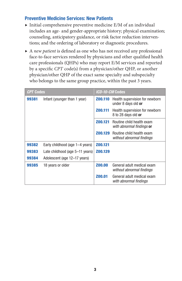# Preventive Medicine Services: New Patients

- $\blacktriangleright$  Initial comprehensive preventive medicine E/M of an individual includes an age- and gender-appropriate history; physical examination; counseling, anticipatory guidance, or risk factor reduction interventions; and the ordering of laboratory or diagnostic procedures.
- ▶ A *new patient* is defined as one who has not received any professional face-to-face services rendered by physicians and other qualified health care professionals (QHPs) who may report E/M services and reported by a specific *CPT* code(s) from a physician/other QHP, or another physician/other QHP of the exact same specialty and subspecialty who belongs to the same group practice, within the past 3 years.

| <b>CPT Codes</b> |                                 | <i>ICD-10-CM</i> Codes |                                                         |
|------------------|---------------------------------|------------------------|---------------------------------------------------------|
| 99381            | Infant (younger than 1 year)    | Z00.110                | Health supervision for newborn<br>under 8 days old or   |
|                  |                                 | Z00.111                | Health supervision for newborn<br>8 to 28 days old or   |
|                  |                                 | Z00.121                | Routine child health exam<br>with abnormal findings or  |
|                  |                                 | Z00.129                | Routine child health exam<br>without abnormal findings  |
| 99382            | Early childhood (age 1-4 years) | Z00.121                |                                                         |
| 99383            | Late childhood (age 5-11 years) | Z00.129                |                                                         |
| 99384            | Adolescent (age 12–17 years)    |                        |                                                         |
| 99385            | 18 years or older               | <b>Z00.00</b>          | General adult medical exam<br>without abnormal findings |
|                  |                                 | Z00.01                 | General adult medical exam<br>with abnormal findings    |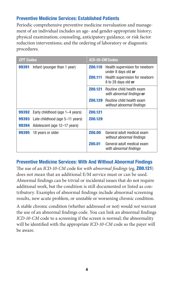# Preventive Medicine Services: Established Patients

Periodic comprehensive preventive medicine reevaluation and management of an individual includes an age- and gender-appropriate history; physical examination; counseling, anticipatory guidance, or risk factor reduction interventions; and the ordering of laboratory or diagnostic procedures.

| <b>CPT Codes</b> |                                              | <i>ICD-10-CM</i> Codes |                                                                                         |
|------------------|----------------------------------------------|------------------------|-----------------------------------------------------------------------------------------|
| 99391            | Infant (younger than 1 year)                 | Z00.110<br>Z00.111     | Health supervision for newborn<br>under 8 days old or<br>Health supervision for newborn |
|                  |                                              |                        | 8 to 28 days old or                                                                     |
|                  |                                              | Z00.121                | Routine child health exam<br>with abnormal findings or                                  |
|                  |                                              | Z00.129                | Routine child health exam<br>without abnormal findings                                  |
|                  | <b>99392</b> Early childhood (age 1–4 years) | Z00.121                |                                                                                         |
|                  | <b>99393</b> Late childhood (age 5–11 years) | Z00.129                |                                                                                         |
| 99394            | Adolescent (age 12–17 years)                 |                        |                                                                                         |
| 99395            | 18 years or older                            | <b>ZOO.OO</b>          | General adult medical exam<br>without abnormal findings                                 |
|                  |                                              | Z00.01                 | General adult medical exam<br>with abnormal findings                                    |

## Preventive Medicine Services: With And Without Abnormal Findings

The use of an *ICD-10-CM* code for *with abnormal findings* (eg, Z00.121) does not mean that an additional E/M service must or can be used. Abnormal findings can be trivial or incidental issues that do not require additional work, but the condition is still documented or listed as contributory. Examples of abnormal findings include abnormal screening results, new acute problem, or unstable or worsening chronic condition.

A stable chronic condition (whether addressed or not) would *not* warrant the use of an abnormal findings code. You can link an abnormal findings *ICD-10-CM* code to a screening if the screen is normal; the abnormality will be identified with the appropriate *ICD-10-CM* code so the payer will be aware.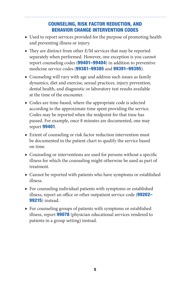# COUNSELING, RISK FACTOR REDUCTION, AND BEHAVIOR CHANGE INTERVENTION CODES

- ▶ Used to report services provided for the purpose of promoting health and preventing illness or injury.
- $\triangleright$  They are distinct from other E/M services that may be reported separately when performed. However, one exception is you cannot report counseling codes (99401–99404) in addition to preventive medicine service codes (99381–99385 and 99391–99395).
- ▶ Counseling will vary with age and address such issues as family dynamics, diet and exercise, sexual practices, injury prevention, dental health, and diagnostic or laboratory test results available at the time of the encounter.
- ▶ Codes are time-based, where the appropriate code is selected according to the approximate time spent providing the service. Codes may be reported when the midpoint for that time has passed. For example, once 8 minutes are documented, one may report 99401.
- ▶ Extent of counseling or risk factor reduction intervention must be documented in the patient chart to qualify the service based on time.
- ▶ Counseling or interventions are used for persons without a specific illness for which the counseling might otherwise be used as part of treatment.
- ▶ Cannot be reported with patients who have symptoms or established illness.
- ▶ For counseling individual patients with symptoms or established illness, report an office or other outpatient service code (99202-99215) instead.
- ▶ For counseling groups of patients with symptoms or established illness, report **99078** (physician educational services rendered to patients in a group setting) instead.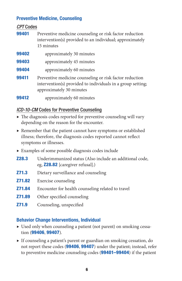## Preventive Medicine, Counseling

*CPT* Codes

| 99401 | Preventive medicine counseling or risk factor reduction<br>intervention(s) provided to an individual; approximately<br>15 minutes                  |
|-------|----------------------------------------------------------------------------------------------------------------------------------------------------|
| 99402 | approximately 30 minutes                                                                                                                           |
| 99403 | approximately 45 minutes                                                                                                                           |
| 99404 | approximately 60 minutes                                                                                                                           |
| 99411 | Preventive medicine counseling or risk factor reduction<br>intervention(s) provided to individuals in a group setting;<br>approximately 30 minutes |
| 99412 | approximately 60 minutes                                                                                                                           |

# *ICD-10-CM* Codes for Preventive Counseling

- $\triangleright$  The diagnosis codes reported for preventive counseling will vary depending on the reason for the encounter.
- ▶ Remember that the patient cannot have symptoms or established illness; therefore, the diagnosis codes reported cannot reflect symptoms or illnesses.
- ▶ Examples of some possible diagnosis codes include
- **Z28.3** Underimmunized status (Also include an additional code, eg, Z28.82 [caregiver refusal].)
- **Z71.3** Dietary surveillance and counseling
- **Z71.82** Exercise counseling
- **Z71.84** Encounter for health counseling related to travel
- **Z71.89** Other specified counseling
- **Z71.9** Counseling, unspecified

# Behavior Change Interventions, Individual

- ▶ Used only when counseling a patient (not parent) on smoking cessation (99406, 99407).
- ▶ If counseling a patient's parent or guardian on smoking cessation, do not report these codes (99406, 99407) under the patient; instead, refer to preventive medicine counseling codes (**99401–99404**) if the patient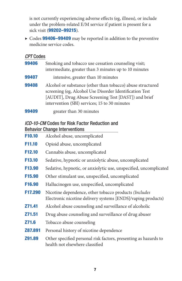is not currently experiencing adverse effects (eg, illness), or include under the problem-related E/M service if patient is present for a sick visit (99202–99215).

▶ Codes 99406-99409 may be reported in addition to the preventive medicine service codes.

# *CPT* Codes

| 99406 | Smoking and tobacco use cessation counseling visit;<br>intermediate, greater than 3 minutes up to 10 minutes                                                                                                                   |
|-------|--------------------------------------------------------------------------------------------------------------------------------------------------------------------------------------------------------------------------------|
| 99407 | intensive, greater than 10 minutes                                                                                                                                                                                             |
| 99408 | Alcohol or substance (other than tobacco) abuse structured<br>screening (eg, Alcohol Use Disorder Identification Test<br>[AUDIT], Drug Abuse Screening Test [DAST]) and brief<br>intervention (SBI) services; 15 to 30 minutes |
|       |                                                                                                                                                                                                                                |

**99409** greater than 30 minutes

## *ICD-10-CM* Codes for Risk Factor Reduction and Behavior Change Interventions

| F10.10             | Alcohol abuse, uncomplicated                                                                                          |
|--------------------|-----------------------------------------------------------------------------------------------------------------------|
| F11.10             | Opioid abuse, uncomplicated                                                                                           |
| F <sub>12.10</sub> | Cannabis abuse, uncomplicated                                                                                         |
| <b>F13.10</b>      | Sedative, hypnotic or anxiolytic abuse, uncomplicated                                                                 |
| F <sub>13.90</sub> | Sedative, hypnotic, or anxiolytic use, unspecified, uncomplicated                                                     |
| F <sub>15.90</sub> | Other stimulant use, unspecified, uncomplicated                                                                       |
| F <sub>16.90</sub> | Hallucinogen use, unspecified, uncomplicated                                                                          |
| F17.290            | Nicotine dependence, other tobacco products (Includes<br>Electronic nicotine delivery systems [ENDS]/vaping products) |
| Z71.41             | Alcohol abuse counseling and surveillance of alcoholic                                                                |
| <b>Z71.51</b>      | Drug abuse counseling and surveillance of drug abuser                                                                 |
| <b>Z71.6</b>       | Tobacco abuse counseling                                                                                              |
| Z87.891            | Personal history of nicotine dependence                                                                               |
| <b>Z91.89</b>      | Other specified personal risk factors, presenting as hazards to<br>health not elsewhere classified                    |
|                    |                                                                                                                       |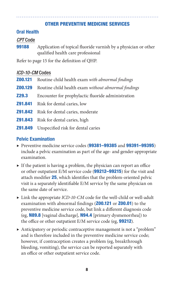## OTHER PREVENTIVE MEDICINE SERVICES

## Oral Health

## *CPT* Code

**99188** Application of topical fluoride varnish by a physician or other qualified health care professional

Refer to page 15 for the definition of QHP.

## *ICD-10-CM* Codes

- Z00.121 Routine child health exam *with abnormal findings*
- Z00.129 Routine child health exam *without abnormal findings*
- **Z29.3** Encounter for prophylactic fluoride administration
- Z91.841 Risk for dental caries, low
- **Z91.842** Risk for dental caries, moderate
- Z91.843 Risk for dental caries, high
- **Z91.849** Unspecified risk for dental caries

## Pelvic Examination

- ▶ Preventive medicine service codes (99381-99385 and 99391-99395) include a pelvic examination as part of the age- and gender-appropriate examination.
- $\triangleright$  If the patient is having a problem, the physician can report an office or other outpatient E/M service code (99212-99215) for the visit and attach modifier 25, which identifies that the problem-oriented pelvic visit is a separately identifiable E/M service by the same physician on the same date of service.
- ▶ Link the appropriate *ICD-10-CM* code for the well-child or well-adult examination with abnormal findings (**Z00.121** or **Z00.01**) to the preventive medicine service code, but link a different diagnosis code (eg, **N89.8** [vaginal discharge], **N94.4** [primary dysmenorrhea]) to the office or other outpatient  $E/M$  service code (eg, **99212**).
- ▶ Anticipatory or periodic contraceptive management is not a "problem" and is therefore included in the preventive medicine service code; however, if contraception creates a problem (eg, breakthrough bleeding, vomiting), the service can be reported separately with an office or other outpatient service code.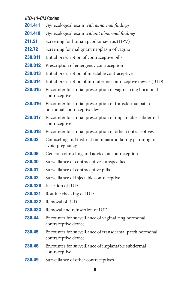## *ICD-10-CM* Codes

- Z01.411 Gynecological exam *with abnormal findings*
- Z01.419 Gynecological exam *without abnormal findings*
- **Z11.51** Screening for human papillomavirus (HPV)
- **Z12.72** Screening for malignant neoplasm of vagina
- **Z30.011** Initial prescription of contraceptive pills
- **Z30.012** Prescription of emergency contraception
- **Z30.013** Initial prescription of injectable contraceptive
- Z30.014 Initial prescription of intrauterine contraceptive device (IUD)
- **Z30.015** Encounter for initial prescription of vaginal ring hormonal contraceptive
- **Z30.016** Encounter for initial prescription of transdermal patch hormonal contraceptive device
- **Z30.017** Encounter for initial prescription of implantable subdermal contraceptive
- **Z30.018** Encounter for initial prescription of other contraceptives
- **Z30.02** Counseling and instruction in natural family planning to avoid pregnancy
- **Z30.09** General counseling and advice on contraception
- **Z30.40** Surveillance of contraceptives, unspecified
- **Z30.41** Surveillance of contraceptive pills
- **Z30.42** Surveillance of injectable contraceptive
- Z30.430 Insertion of IUD
- Z30.431 Routine checking of IUD
- Z30.432 Removal of IUD
- **Z30.433** Removal and reinsertion of IUD
- **Z30.44** Encounter for surveillance of vaginal ring hormonal contraceptive device
- **Z30.45** Encounter for surveillance of transdermal patch hormonal contraceptive device
- **Z30.46** Encounter for surveillance of implantable subdermal contraceptive
- **Z30.49** Surveillance of other contraceptives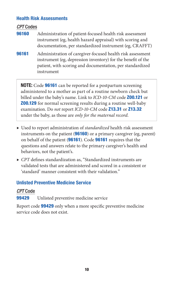## Health Risk Assessments

*CPT* Codes

- **96160** Administration of patient-focused health risk assessment instrument (eg, health hazard appraisal) with scoring and documentation, per standardized instrument (eg, CRAFFT)
- **96161** Administration of caregiver-focused health risk assessment instrument (eg, depression inventory) for the benefit of the patient, with scoring and documentation, per standardized instrument

**NOTE:** Code **96161** can be reported for a postpartum screening administered to a mother as part of a routine newborn check but billed under the baby's name. Link to *ICD-10-CM* code Z00.121 or **Z00.129** for normal screening results during a routine well-baby examination. Do *not* report *ICD-10-CM* code Z13.31 or Z13.32 under the baby, as those are *only for the maternal record*.

- ▶ Used to report administration of *standardized* health risk assessment instruments on the patient (96160) or a primary caregiver (eg, parent) on behalf of the patient (96161). Code 96161 requires that the questions and answers relate to the primary caregiver's health and behaviors, not the patient's.
- ▶ *CPT* defines standardization as, "Standardized instruments are validated tests that are administered and scored in a consistent or 'standard' manner consistent with their validation."

# Unlisted Preventive Medicine Service

# *CPT* Code

**99429** Unlisted preventive medicine service

Report code **99429** only when a more specific preventive medicine service code does not exist.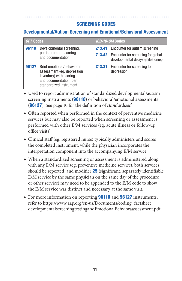# SCREENING CODES

# Developmental/Autism Screening and Emotional/Behavioral Assessment

| <b>CPT Codes</b>                                      |                                                                                                                                          | ICD-10-CM Codes |                                                                                       |  |
|-------------------------------------------------------|------------------------------------------------------------------------------------------------------------------------------------------|-----------------|---------------------------------------------------------------------------------------|--|
| 96110<br>per instrument, scoring<br>and documentation | Developmental screening,                                                                                                                 |                 | <b>Z13.41</b> Encounter for autism screening                                          |  |
|                                                       |                                                                                                                                          |                 | <b>Z13.42</b> Encounter for screening for global<br>developmental delays (milestones) |  |
| 96127                                                 | Brief emotional/behavioral<br>assessment (eg, depression<br>inventory) with scoring<br>and documentation, per<br>standardized instrument |                 | <b>Z13.31</b> Encounter for screening for<br>depression                               |  |

- ▶ Used to report administration of standardized developmental/autism screening instruments (**96110**) or behavioral/emotional assessments (96127). See page 10 for the definition of *standardized.*
- $\triangleright$  Often reported when performed in the context of preventive medicine services but may also be reported when screening or assessment is performed with other E/M services (eg, acute illness or follow-up office visits).
- ▶ Clinical staff (eg, registered nurse) typically administers and scores the completed instrument, while the physician incorporates the interpretation component into the accompanying E/M service.
- ▶ When a standardized screening or assessment is administered along with any E/M service (eg, preventive medicine service), both services should be reported, and modifier 25 (significant, separately identifiable E/M service by the same physician on the same day of the procedure or other service) may need to be appended to the E/M code to show the E/M service was distinct and necessary at the same visit.
- ▶ For more information on reporting **96110** and **96127** instruments, refer to https://www.aap.org/en-us/Documents/coding\_factsheet\_ [developmentalscreeningtestingandEmotionalBehvioraassessment.pdf.](https://www.aap.org/en-us/Documents/coding_factsheet_developmentalscreeningtestingandEmotionalBehvioraassessment.pdf)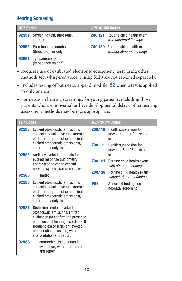# Hearing Screening

| <b>CPT Codes</b> |                                                            | <i>ICD-10-CM</i> Codes |                                                                       |
|------------------|------------------------------------------------------------|------------------------|-----------------------------------------------------------------------|
| 92551            | Screening test, pure tone,<br>air only                     |                        | <b>Z00.121</b> Routine child health exam<br>with abnormal findings    |
|                  | <b>92552</b> Pure tone audiometry<br>(threshold), air only |                        | <b>Z00.129</b> Routine child health exam<br>without abnormal findings |
| 92567            | Tympanometry<br>(impedance testing)                        |                        |                                                                       |

- ▶ Requires use of calibrated electronic equipment; tests using other methods (eg, whispered voice, tuning fork) are not reported separately.
- ▶ Includes testing of both ears; append modifier 52 when a test is applied to only one ear.
- $\blacktriangleright$  For newborn hearing screenings for young patients, including those patients who are nonverbal or have developmental delays, other hearing assessment methods may be more appropriate.

| <b>CPT Codes</b> |                                                                                                                                                                                                                                           | ICD-10-CM Codes    |                                                                                                                           |
|------------------|-------------------------------------------------------------------------------------------------------------------------------------------------------------------------------------------------------------------------------------------|--------------------|---------------------------------------------------------------------------------------------------------------------------|
| 92558            | Evoked otoacoustic emissions,<br>screening (qualitative measurement<br>of distortion product or transient<br>evoked otoacoustic emissions),<br>automated analysis                                                                         | Z00.110<br>Z00.111 | Health supervision for<br>newborn under 8 days old<br><sub>0r</sub><br>Health supervision for<br>newborn 8 to 28 days old |
| 92585<br>92586   | Auditory evoked potentials for<br>evoked response audiometry<br>and/or testing of the central<br>nervous system; comprehensive<br>limited                                                                                                 | Z00.121<br>Z00.129 | 0r<br>Routine child health exam<br>with abnormal findings<br>Routine child health exam<br>without abnormal findings       |
| 92558            | Evoked otoacoustic emissions,<br>screening (qualitative measurement<br>of distortion product or transient<br>evoked otoacoustic emissions),<br>automated analysis                                                                         | <b>P09</b>         | Abnormal findings on<br>neonatal screening                                                                                |
| 92587            | Distortion product evoked<br>otoacoustic emissions; limited<br>evaluation (to confirm the presence<br>or absence of hearing disorder, 3-6<br>frequencies) or transient evoked<br>otoacoustic emissions, with<br>interpretation and report |                    |                                                                                                                           |
| 92588            | comprehensive diagnostic<br>evaluation, with interpretation<br>and report                                                                                                                                                                 |                    |                                                                                                                           |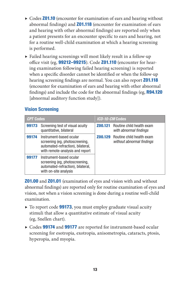- ▶ Codes **Z01.10** (encounter for examination of ears and hearing without abnormal findings) and **Z01.118** (encounter for examination of ears and hearing with other abnormal findings) are reported only when a patient presents for an encounter specific to ears and hearing, not for a routine well-child examination at which a hearing screening is performed.
- ▶ Failed hearing screenings will most likely result in a follow-up office visit (eg, 99212-99215). Code Z01.110 (encounter for hearing examination following failed hearing screening) is reported when a specific disorder cannot be identified or when the follow-up hearing screening findings are normal. You can also report **Z01.118** (encounter for examination of ears and hearing with other abnormal findings) and include the code for the abnormal findings (eg, R94.120 [abnormal auditory function study]).

# Vision Screening

| <b>CPT Codes</b> |                                                                                                                                   | <i>ICD-10-CM</i> Codes |                                                                       |
|------------------|-----------------------------------------------------------------------------------------------------------------------------------|------------------------|-----------------------------------------------------------------------|
| 99173            | Screening test of visual acuity<br>quantitative, bilateral                                                                        |                        | <b>Z00.121</b> Routine child health exam<br>with abnormal findings    |
| 99174            | Instrument-based ocular<br>screening (eg, photoscreening,<br>automated-refraction), bilateral,<br>with remote-analysis and report |                        | <b>Z00.129</b> Routine child health exam<br>without abnormal findings |
| 99177            | Instrument-based ocular<br>screening (eg, photoscreening,<br>automated-refraction), bilateral,<br>with on-site analysis           |                        |                                                                       |

**Z01.00** and **Z01.01** (examination of eyes and vision with and without abnormal findings) are reported only for routine examination of eyes and vision, not when a vision screening is done during a routine well-child examination.

- ▶ To report code 99173, you must employ graduate visual acuity stimuli that allow a quantitative estimate of visual acuity (eg, Snellen chart).
- ▶ Codes 99174 and 99177 are reported for instrument-based ocular screening for esotropia, exotropia, anisometropia, cataracts, ptosis, hyperopia, and myopia.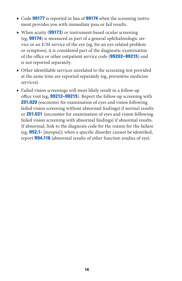- $\triangleright$  Code **99177** is reported in lieu of **99174** when the screening instrument provides you with immediate pass or fail results.
- ▶ When acuity (99173) or instrument-based ocular screening (eg, 99174) is measured as part of a general ophthalmologic service or an E/M service of the eye (eg, for an eye-related problem or symptom), it is considered part of the diagnostic examination of the office or other outpatient service code (99202–99215) and is not reported separately.
- ▶ Other identifiable services unrelated to the screening test provided at the same time are reported separately (eg, preventive medicine services).
- ▶ Failed vision screenings will most likely result in a follow-up office visit (eg, **99212-99215**). Report the follow-up screening with **Z01.020** (encounter for examination of eyes and vision following failed vision screening without abnormal findings) if normal results or Z01.021 (encounter for examination of eyes and vision following failed vision screening with abnormal findings) if abnormal results. If abnormal, link to the diagnosis code for the reason for the failure (eg, H52.1- [myopia]); when a specific disorder cannot be identified, report R94.118 (abnormal results of other function studies of eye).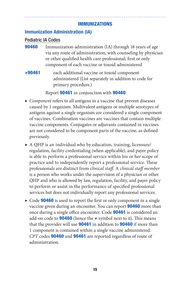## IMMUNIZATIONS

# Immunization Administration (IA)

## Pediatric IA Codes

- **90460** Immunization administration (IA) through 18 years of age via any route of administration, with counseling by physician or other qualified health care professional; first or only component of each vaccine or toxoid administered
- +90461 each additional vaccine or toxoid component administered (List separately in addition to code for primary procedure.)

Report 90461 in conjunction with 90460.

- ▶ *Component* refers to all antigens in a vaccine that prevent diseases caused by 1 organism. Multivalent antigens or multiple serotypes of antigens against a single organism are considered a single component of vaccines. Combination vaccines are vaccines that contain multiple vaccine components. Conjugates or adjuvants contained in vaccines are not considered to be component parts of the vaccine, as defined previously.
- ▶ A QHP is an individual who by education, training, licensure/ regulation, facility credentialing (when applicable), and payer policy is able to perform a professional service within his or her scope of practice and to independently report a professional service. These professionals are distinct from *clinical staff.* A *clinical staff member*  is a person who works under the supervision of a physician or other QHP and who is allowed by law, regulation, facility, and payer policy to perform or assist in the performance of specified professional services but does not individually report any professional services.
- ▶ Code **90460** is used to report the first or only component in a single vaccine given during an encounter. You can report 90460 more than once during a single office encounter. Code 90461 is considered an add-on code to **90460** (hence the  $\div$  symbol next to it). This means that the provider will use **90461** in addition to **90460** if more than 1 component is contained within a single vaccine administered*. CPT* codes 90460 and 90461 are reported regardless of route of administration.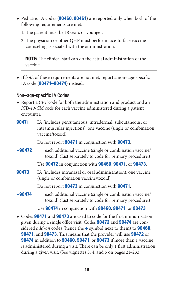- ▶ Pediatric IA codes (**90460, 90461**) are reported only when both of the following requirements are met:
	- 1. The patient must be 18 years or younger.
	- 2. The physician or other QHP must perform face-to-face vaccine counseling associated with the administration.

NOTE: The clinical staff can do the actual administration of the vaccine.

▶ If *both* of these requirements are not met, report a non–age-specific IA code (**90471–90474**) instead.

## Non–age-specific IA Codes

- ▶ Report a *CPT* code for both the administration and product and an *ICD-10-CM* code for each vaccine administered during a patient encounter.
- **90471** IA (includes percutaneous, intradermal, subcutaneous, or intramuscular injections); one vaccine (single or combination vaccine/toxoid)

Do not report **90471** in conjunction with **90473**.

+90472 each additional vaccine (single or combination vaccine/ toxoid) (List separately to code for primary procedure.)

Use 90472 in conjunction with 90460, 90471, or 90473.

**90473** IA (includes intranasal or oral administration); one vaccine (single or combination vaccine/toxoid)

Do not report 90473 in conjunction with 90471.

+90474 each additional vaccine (single or combination vaccine/ toxoid) (List separately to code for primary procedure.)

Use 90474 in conjunction with 90460, 90471, or 90473.

▶ Codes **90471** and **90473** are used to code for the first immunization given during a single office visit. Codes 90472 and 90474 are considered *add-on* codes (hence the + symbol next to them) to 90460, **90471, and 90473.** This means that the provider will use **90472** or 90474 in addition to 90460, 90471, or 90473 if more than 1 vaccine is administered during a visit. There can be only 1 first administration during a given visit. (See vignettes 3, 4, and 5 on pages 21–23.)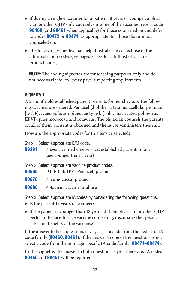- ▶ If during a single encounter for a patient 18 years or younger, a physician or other QHP only counsels on some of the vaccines, report code **90460** (and **90461** when applicable) for those counseled on and defer to codes 90472 or 90474, as appropriate, for those that are not counseled on.
- $\triangleright$  The following vignettes may help illustrate the correct use of the administration codes (see pages 25–28 for a full list of vaccine product codes):

**NOTE:** The coding vignettes are for teaching purposes only and do not necessarily follow every payer's reporting requirements.

# Vignette 1

A 2-month-old established patient presents for her checkup. The following vaccines are ordered: Pentacel (diphtheria-tetanus-acellular pertussis [DTaP], *Haemophilus influenzae* type b [Hib], inactivated poliovirus [IPV]), pneumococcal, and rotavirus. The physician counsels the parents on all of them, consent is obtained and the nurse administers them all.

How are the appropriate codes for this service selected?

Step 1: Select appropriate E/M code.

- **99391** Preventive medicine service, established patient, infant (age younger than 1 year)
- Step 2: Select appropriate vaccine product codes.
- 90698 DTaP-Hib-IPV (Pentacel) product
- 90670 Pneumococcal product
- **90680** Rotavirus vaccine, oral use

Step 3: Select appropriate IA codes by considering the following questions:

- ▶ Is the patient 18 years or younger?
- ▶ If the patient is younger than 18 years, did the physician or other QHP perform the face-to-face vaccine counseling, discussing the specific risks and benefits of the vaccines?

If the answer to both questions is yes, select a code from the pediatric IA code family (90460, 90461). If the answer to one of the questions is no, select a code from the non–age-specific IA code family (**90471–90474**).

In this vignette, the answer to both questions is yes. Therefore, IA codes 90460 and 90461 will be reported.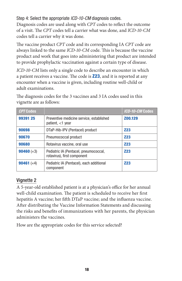Step 4: Select the appropriate *ICD-10-CM* diagnosis codes.

Diagnosis codes are used along with *CPT* codes to reflect the outcome of a visit. The *CPT* codes tell a carrier what was done, and *ICD-10-CM*  codes tell a carrier why it was done.

The vaccine product *CPT* code and its corresponding IA *CPT* code are always linked to the same *ICD-10-CM* code. This is because the vaccine product and work that goes into administering that product are intended to provide prophylactic vaccination against a certain type of disease.

*ICD-10-CM* lists only a single code to describe an encounter in which a patient receives a vaccine. The code is **Z23**, and it is reported at any encounter when a vaccine is given, including routine well-child or adult examinations.

| <i><b>CPT Codes</b></i>    |                                                                      | ICD-10-CM Codes |
|----------------------------|----------------------------------------------------------------------|-----------------|
| 99391 25                   | Preventive medicine service, established<br>patient, $<$ 1 year      | Z00.129         |
| 90698                      | DTaP-Hib-IPV (Pentacel) product                                      | <b>Z23</b>      |
| 90670                      | Pneumococcal product                                                 | <b>Z23</b>      |
| 90680                      | Rotavirus vaccine, oral use                                          | <b>Z23</b>      |
| <b>90460</b> ( $\times$ 3) | Pediatric IA (Pentacel, pneumococcal,<br>rotavirus), first component | <b>Z23</b>      |
| <b>90461</b> $(x4)$        | Pediatric IA (Pentacel), each additional<br>component                | <b>Z23</b>      |

The diagnosis codes for the 3 vaccines and 3 IA codes used in this vignette are as follows:

# Vignette 2

A 5-year-old established patient is at a physician's office for her annual well-child examination. The patient is scheduled to receive her first hepatitis A vaccine; her fifth DTaP vaccine; and the influenza vaccine. After distributing the Vaccine Information Statements and discussing the risks and benefits of immunizations with her parents, the physician administers the vaccines.

How are the appropriate codes for this service selected?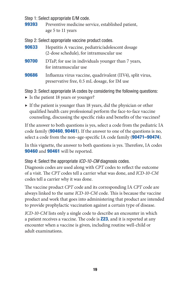Step 1: Select appropriate E/M code.

**99393** Preventive medicine service, established patient, age 5 to 11 years

Step 2: Select appropriate vaccine product codes.

| 90633 | Hepatitis A vaccine, pediatric/adolescent dosage<br>(2-dose schedule), for intramuscular use               |
|-------|------------------------------------------------------------------------------------------------------------|
| 90700 | DTaP, for use in individuals younger than 7 years,<br>for intramuscular use                                |
| 90686 | Influenza virus vaccine, quadrivalent (IIV4), split virus,<br>preservative free, 0.5 mL dosage, for IM use |

Step 3: Select appropriate IA codes by considering the following questions:

- ▶ Is the patient 18 years or younger?
- $\triangleright$  If the patient is younger than 18 years, did the physician or other qualified health care professional perform the face-to-face vaccine counseling, discussing the specific risks and benefits of the vaccines?

If the answer to both questions is yes, select a code from the pediatric IA code family (90460, 90461). If the answer to one of the questions is no, select a code from the non–age-specific IA code family (**90471–90474**).

In this vignette, the answer to both questions is yes. Therefore, IA codes 90460 and 90461 will be reported.

Step 4: Select the appropriate *ICD-10-CM* diagnosis codes. Diagnosis codes are used along with *CPT* codes to reflect the outcome of a visit. The *CPT* codes tell a carrier what was done, and *ICD-10-CM*  codes tell a carrier why it was done.

The vaccine product *CPT* code and its corresponding IA *CPT* code are always linked to the same *ICD-10-CM* code. This is because the vaccine product and work that goes into administering that product are intended to provide prophylactic vaccination against a certain type of disease.

*ICD-10-CM* lists only a single code to describe an encounter in which a patient receives a vaccine. The code is **Z23**, and it is reported at any encounter when a vaccine is given, including routine well-child or adult examinations.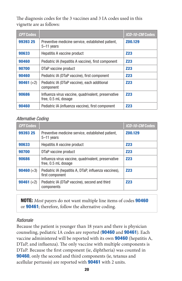The diagnosis codes for the 3 vaccines and 3 IA codes used in this vignette are as follows:

| <b>CPT Codes</b>    |                                                                            | ICD-10-CM Codes |
|---------------------|----------------------------------------------------------------------------|-----------------|
| 99393 25            | Preventive medicine service, established patient,<br>$5-11$ years          | Z00.129         |
| 90633               | Hepatitis A vaccine product                                                | <b>Z23</b>      |
| 90460               | Pediatric IA (hepatitis A vaccine), first component                        | <b>Z23</b>      |
| 90700               | DTaP vaccine product                                                       | <b>Z23</b>      |
| 90460               | Pediatric IA (DTaP vaccine), first component                               | <b>Z23</b>      |
| <b>90461</b> $(x2)$ | Pediatric IA (DTaP vaccine), each additional<br>component                  | <b>Z23</b>      |
| 90686               | Influenza virus vaccine, quadrivalent, preservative<br>free, 0.5 mL dosage | <b>Z23</b>      |
| 90460               | Pediatric IA (influenza vaccine), first component                          | <b>Z23</b>      |

#### *Alternative Coding*

| <b>CPT Codes</b>            |                                                                            | ICD-10-CM Codes |
|-----------------------------|----------------------------------------------------------------------------|-----------------|
| 99393 25                    | Preventive medicine service, established patient,<br>$5-11$ years          | Z00.129         |
| 90633                       | Hepatitis A vaccine product                                                | <b>Z23</b>      |
| 90700                       | DTaP vaccine product                                                       | <b>Z23</b>      |
| 90686                       | Influenza virus vaccine, quadrivalent, preservative<br>free, 0.5 mL dosage | <b>Z23</b>      |
| <b>90460</b> ( $\times$ 3)  | Pediatric IA (hepatitis A, DTaP, influenza vaccines),<br>first component   | <b>Z23</b>      |
| <b>90461</b> ( $\times 2$ ) | Pediatric IA (DTaP vaccine), second and third<br>components                | <b>Z23</b>      |

NOTE: *Most* payers do not want multiple line items of codes 90460 or 90461; therefore, follow the alternative coding.

#### *Rationale*

Because the patient is younger than 18 years and there is physician counseling, pediatric IA codes are reported (90460 and 90461). Each vaccine administered will be reported with its own 90460 (hepatitis A, DTaP, and influenza). The only vaccine with multiple components is DTaP. Because the first component (ie, diphtheria) was counted in 90460, only the second and third components (ie, tetanus and acellular pertussis) are reported with 90461 with 2 units.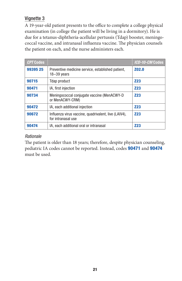# Vignette 3

A 19-year-old patient presents to the office to complete a college physical examination (in college the patient will be living in a dormitory). He is due for a tetanus-diphtheria-acellular pertussis (Tdap) booster, meningococcal vaccine, and intranasal influenza vaccine. The physician counsels the patient on each, and the nurse administers each.

| <b>CPT Codes</b> |                                                                            | ICD-10-CM Codes |
|------------------|----------------------------------------------------------------------------|-----------------|
| 99395 25         | Preventive medicine service, established patient,<br>$18 - 39$ years       | Z02.0           |
| 90715            | Tdap product                                                               | <b>Z23</b>      |
| 90471            | IA, first injection                                                        | <b>Z23</b>      |
| 90734            | Meningococcal conjugate vaccine (MenACWY-D<br>or MenACWY-CRM)              | <b>Z23</b>      |
| 90472            | IA, each additional injection                                              | <b>Z23</b>      |
| 90672            | Influenza virus vaccine, quadrivalent, live (LAIV4),<br>for intranasal use | <b>Z23</b>      |
| 90474            | IA, each additional oral or intranasal                                     | <b>Z23</b>      |

## *Rationale*

The patient is older than 18 years; therefore, despite physician counseling, pediatric IA codes cannot be reported. Instead, codes 90471 and 90474 must be used.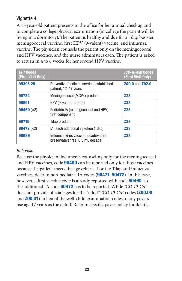# Vignette 4

A 17-year-old patient presents to the office for her annual checkup and to complete a college physical examination (in college the patient will be living in a dormitory). The patient is healthy and due for a Tdap booster, meningococcal vaccine, first HPV (9-valent) vaccine, and influenza vaccine. The physician counsels the patient only on the meningococcal and HPV vaccines, and the nurse administers each. The patient is asked to return in 4 to 6 weeks for her second HPV vaccine.

| <b>CPT Codes</b><br>(First Visit Only) |                                                                            | ICD-10-CM Codes<br>(First Visit Only) |
|----------------------------------------|----------------------------------------------------------------------------|---------------------------------------|
| 99395 25                               | Preventive medicine service, established<br>patient, 12–17 years           | <b>Z00.0 and Z02.0</b>                |
| 90734                                  | Meningococcal (MCV4) product                                               | <b>Z23</b>                            |
| 90651                                  | HPV (9-valent) product                                                     | <b>Z23</b>                            |
| <b>90460</b> $(x2)$                    | Pediatric IA (meningococcal and HPV),<br>first component                   | <b>Z23</b>                            |
| 90715                                  | Tdap product                                                               | <b>Z23</b>                            |
| <b>90472</b> ( $\times 2$ )            | IA, each additional injection (Tdap)                                       | <b>Z23</b>                            |
| 90686                                  | Influenza virus vaccine, quadrivalent,<br>preservative free, 0.5 mL dosage | <b>Z23</b>                            |

## *Rationale*

Because the physician documents counseling only for the meningococcal and HPV vaccines, code **90460** can be reported only for those vaccines because the patient meets the age criteria. For the Tdap and influenza vaccines, defer to non-pediatric IA codes (90471, 90472). In this case, however, a first vaccine code is already reported with code 90460, so the additional IA code 90472 has to be reported. While *ICD-10-CM*  does not provide official ages for the "adult" *ICD-10-CM* codes (Z00.00 and **Z00.01**) in lieu of the well-child examination codes, many payers use age 17 years as the cutoff. Refer to specific payer policy for details.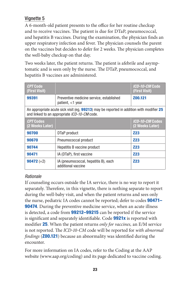# Vignette 5

A 6-month-old patient presents to the office for her routine checkup and to receive vaccines. The patient is due for DTaP, pneumococcal, and hepatitis B vaccines. During the examination, the physician finds an upper respiratory infection and fever. The physician counsels the parent on the vaccines but decides to defer for 2 weeks. The physician completes the well-baby checkup on that day.

Two weeks later, the patient returns. The patient is afebrile and asymptomatic and is seen only by the nurse. The DTaP, pneumococcal, and hepatitis B vaccines are administered.

| <b>CPT Code</b><br>(First Visit)                                                                                                                 |                                                              | ICD-10-CM Code<br>(First Visit)    |
|--------------------------------------------------------------------------------------------------------------------------------------------------|--------------------------------------------------------------|------------------------------------|
| 99391                                                                                                                                            | Preventive medicine service, established<br>patient, <1 year | Z00.121                            |
| An appropriate acute sick visit (eg, <b>99213</b> ) may be reported in addition with modifier 25<br>and linked to an appropriate ICD-10-CM code. |                                                              |                                    |
| <i>CPT</i> Codes<br>(2 Weeks Later)                                                                                                              |                                                              | ICD-10-CM Codes<br>(2 Weeks Later) |
| 90700                                                                                                                                            | DTaP product                                                 | <b>Z23</b>                         |
| 90670                                                                                                                                            | Pneumococcal product                                         | <b>Z23</b>                         |
| 90744                                                                                                                                            | Hepatitis B vaccine product                                  | <b>Z23</b>                         |
| 90471                                                                                                                                            | IA (DTaP), first vaccine                                     | <b>Z23</b>                         |
| <b>90472</b> ( $\times$ 2)                                                                                                                       | IA (pneumococcal, hepatitis B), each<br>additional vaccine   | <b>Z23</b>                         |

# *Rationale*

If counseling occurs outside the IA service, there is no way to report it separately. Therefore, in this vignette, there is nothing separate to report during the well-baby visit, and when the patient returns and sees only the nurse, pediatric IA codes cannot be reported; defer to codes **90471– 90474.** During the preventive medicine service, when an acute illness is detected, a code from **99212–99215** can be reported if the service is significant and separately identifiable. Code **9921x** is reported with modifier 25. When the patient returns *only for vaccines,* an E/M service is not reported. The *ICD-10-CM* code will be reported for *with abnormal findings* (Z00.121) because an abnormality was identified during the encounter.

For more information on IA codes, refer to the Coding at the AAP website (www.aap.org/coding) and its page dedicated to vaccine coding.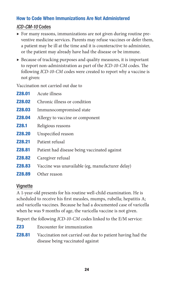# How to Code When Immunizations Are Not Administered

# *ICD-CM-10* Codes

- ▶ For many reasons, immunizations are not given during routine preventive medicine services. Parents may refuse vaccines or defer them, a patient may be ill at the time and it is counteractive to administer, or the patient may already have had the disease or be immune.
- ▶ Because of tracking purposes and quality measures, it is important to report non-administration as part of the *ICD-10-CM* codes. The following *ICD-10-CM* codes were created to report why a vaccine is not given:

Vaccination not carried out due to

| <b>Z28.01</b> | Acute illness                                    |
|---------------|--------------------------------------------------|
| <b>Z28.02</b> | Chronic illness or condition                     |
| <b>Z28.03</b> | Immunocompromised state                          |
| <b>Z28.04</b> | Allergy to vaccine or component                  |
| <b>Z28.1</b>  | Religious reasons                                |
| <b>Z28.20</b> | Unspecified reason                               |
| <b>Z28.21</b> | Patient refusal                                  |
| <b>Z28.81</b> | Patient had disease being vaccinated against     |
| <b>Z28.82</b> | Caregiver refusal                                |
| <b>Z28.83</b> | Vaccine was unavailable (eg, manufacturer delay) |
| <b>Z28.89</b> | Other reason                                     |

# Vignette

A 1-year-old presents for his routine well-child examination. He is scheduled to receive his first measles, mumps, rubella; hepatitis A; and varicella vaccines. Because he had a documented case of varicella when he was 9 months of age, the varicella vaccine is not given.

Report the following *ICD-10-CM* codes linked to the E/M service:

- **Z23** Encounter for immunization
- **Z28.81** Vaccination not carried out due to patient having had the disease being vaccinated against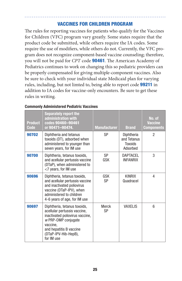## VACCINES FOR CHILDREN PROGRAM

The rules for reporting vaccines for patients who qualify for the Vaccines for Children (VFC) program vary greatly. Some states require that the product code be submitted, while others require the IA codes. Some require the use of modifiers, while others do not. Currently, the VFC program does not recognize component-based vaccine counseling; therefore, you will not be paid for *CPT* code 90461. The American Academy of Pediatrics continues to work on changing this so pediatric providers can be properly compensated for giving multiple-component vaccines. Also be sure to check with your individual state Medicaid plan for varying rules, including, but not limted to, being able to report code **99211** in addition to IA codes for vaccine-only encounters. Be sure to get these rules in writing.

| <b>Product</b><br>Code | <b>Separately report the</b><br>administration with<br>codes 90460-90461<br>or 90471-90474.                                                                                                         | <b>Manufacturer</b> | <b>Brand</b>                                            | No. of<br><b>Vaccine</b><br><b>Components</b> |
|------------------------|-----------------------------------------------------------------------------------------------------------------------------------------------------------------------------------------------------|---------------------|---------------------------------------------------------|-----------------------------------------------|
| 90702                  | Diphtheria and tetanus<br>toxoids (DT), adsorbed when<br>administered to younger than<br>seven years, for IM use                                                                                    | <b>SP</b>           | Diphtheria<br>and Tetanus<br><b>Toxoids</b><br>Adsorbed | 2                                             |
| 90700                  | Diphtheria, tetanus toxoids,<br>and acellular pertussis vaccine<br>(DTaP), when administered to<br><7 years, for IM use                                                                             | <b>SP</b><br>GSK    | <b>DAPTACEL</b><br><b>INFANRIX</b>                      | 3                                             |
| 90696                  | Diphtheria, tetanus toxoids,<br>and acellular pertussis vaccine<br>and inactivated poliovirus<br>vaccine (DTaP-IPV), when<br>administered to children<br>4-6 years of age, for IM use               | GSK<br>SP           | <b>KINRIX</b><br>Quadracel                              | 4                                             |
| 90697                  | Diphtheria, tetanus toxoids,<br>acellular pertussis vaccine,<br>inactivated poliovirus vaccine,<br>w PRP-OMP conjugate<br>vaccine.<br>and hepatitis B vaccine<br>(DTaP-IPV-Hib-HepB),<br>for IM use | Merck<br><b>SP</b>  | <b>VAXELIS</b>                                          | 6                                             |

#### Commonly Administered Pediatric Vaccines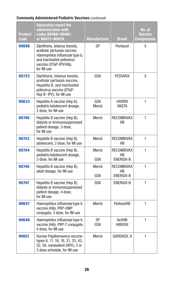## Commonly Administered Pediatric Vaccines (*continued*)

| <b>Product</b><br>Code | <b>Separately report the</b><br>administration with<br>codes 90460-90461<br>or 90471-90474.                                                                           | <b>Manufacturer</b> | <b>Brand</b>                         | No. of<br><b>Vaccine</b><br>Components |
|------------------------|-----------------------------------------------------------------------------------------------------------------------------------------------------------------------|---------------------|--------------------------------------|----------------------------------------|
| 90698                  | Diphtheria, tetanus toxoids,<br>acellular pertussis vaccine,<br>Haemophilus influenzae type b,<br>and inactivated poliovirus<br>vaccine (DTaP-IPV/Hib),<br>for IM use | SP                  | Pentacel                             | 5                                      |
| 90723                  | Diphtheria, tetanus toxoids,<br>acellular pertussis vaccine,<br>Hepatitis B, and inactivated<br>poliovirus vaccine (DTaP-<br>Hep B-IPV), for IM use                   | GSK                 | <b>PEDIARIX</b>                      | 5                                      |
| 90633                  | Hepatitis A vaccine (Hep A),<br>pediatric/adolescent dosage,<br>2 dose, for IM use                                                                                    | GSK<br><b>Merck</b> | <b>HAVRIX</b><br><b>VAQTA</b>        | 1                                      |
| 90740                  | Hepatitis B vaccine (Hep B),<br>dialysis or immunosuppressed<br>patient dosage, 3 dose,<br>for IM use                                                                 | Merck               | <b>RECOMBIVAX</b><br>НB              | 1                                      |
| 90743                  | Hepatitis B vaccine (Hep B),<br>adolescent, 2 dose, for IM use                                                                                                        | Merck               | RECOMBIVAX<br>HB                     | 1                                      |
| 90744                  | Hepatitis B vaccine (Hep B),<br>pediatric/adolescent dosage,<br>3 dose, for IM use                                                                                    | Merck<br><b>GSK</b> | <b>RECOMBIVAX</b><br>НB<br>ENERGIX-B | 1                                      |
| 90746                  | Hepatitis B vaccine (Hep B),<br>adult dosage, for IM use                                                                                                              | Merck<br><b>GSK</b> | <b>RECOMBIVAX</b><br>НB<br>ENERGIX-B | 1                                      |
| 90747                  | Hepatitis B vaccine (Hep B),<br>dialysis or immunosuppressed<br>patient dosage, 4 dose,<br>for IM use                                                                 | <b>GSK</b>          | ENERGIX-B                            | 1                                      |
| 90647                  | Haemophilus influenzae type b<br>vaccine (Hib), PRP-OMP<br>conjugate, 3 dose, for IM use                                                                              | Merck               | PedvaxHIB                            | 1                                      |
| 90648                  | Haemophilus influenzae type b<br>vaccine (Hib), PRP-T conjugate,<br>4 dose, for IM use                                                                                | SP<br>GSK           | ActHIB<br><b>HIBERIX</b>             | 1                                      |
| 90651                  | Human Papillomavirus vaccine<br>types 6, 11, 16, 18, 31, 33, 45,<br>52, 58, nonavalent (HPV), 2 or<br>3 dose schedule, for IM use                                     | <b>Merck</b>        | <b>GARDASIL 9</b>                    | 1                                      |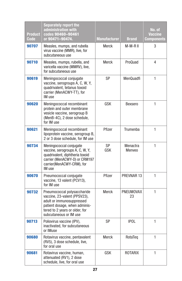| <b>Product</b><br><b>Code</b> | <b>Separately report the</b><br>administration with<br>codes 90460-90461<br>or 90471-90474.                                                                                           | <b>Manufacturer</b> | <b>Brand</b>       | No. of<br><b>Vaccine</b><br><b>Components</b> |
|-------------------------------|---------------------------------------------------------------------------------------------------------------------------------------------------------------------------------------|---------------------|--------------------|-----------------------------------------------|
| 90707                         | Measles, mumps, and rubella<br>virus vaccine (MMR), live, for<br>subcutaneous use                                                                                                     | Merck               | M-M-R II           | 3                                             |
| 90710                         | Measles, mumps, rubella, and<br>varicella vaccine (MMRV), live,<br>for subcutaneous use                                                                                               | <b>Merck</b>        | ProQuad            | 4                                             |
| 90619                         | Meningococcal conjugate<br>vaccine, serogroups A, C, W, Y,<br>quadrivalent, tetanus toxoid<br>carrier (MenACWY-TT), for<br>IM use                                                     | SP                  | MenQuadfi          | 1                                             |
| 90620                         | Meningococcal recombinant<br>protein and outer membrane<br>vesicle vaccine, serogroup B<br>(MenB-4C), 2 dose schedule,<br>for IM use                                                  | GSK                 | <b>Bexsero</b>     | $\mathbf{1}$                                  |
| 90621                         | Meningococcal recombinant<br>lipoprotein vaccine, serogroup B,<br>2 or 3 dose schedule, for IM use                                                                                    | Pfizer              | Trumenba           | 1                                             |
| 90734                         | Meningococcal conjugate<br>vaccine, serogroups A, C, W, Y,<br>quadrivalent, diphtheria toxoid<br>carrier (MenACWY-D) or CRM197<br>carrier(MenACWY-CRM), for<br>IM use                 | SP<br>GSK           | Menactra<br>Menyeo | 1                                             |
| 90670                         | Pneumococcal conjugate<br>vaccine, 13 valent (PCV13),<br>for IM use                                                                                                                   | Pfizer              | PREVNAR 13         | $\mathbf{1}$                                  |
| 90732                         | Pneumococcal polysaccharide<br>vaccine, 23-valent (PPSV23),<br>adult or immunosuppressed<br>patient dosage, when adminis-<br>tered to 2 years or older, for<br>subcutaneous or IM use | Merck               | PNEUMOVAX<br>23    | 1                                             |
| 90713                         | Poliovirus vaccine (IPV),<br>inactivated, for subcutaneous<br>or IMuse                                                                                                                | <b>SP</b>           | <b>IPOL</b>        | $\mathbf{1}$                                  |
| 90680                         | Rotavirus vaccine, pentavalent<br>(RV5), 3 dose schedule, live,<br>for oral use                                                                                                       | Merck               | RotaTeq            | 1                                             |
| 90681                         | Rotavirus vaccine, human,<br>attenuated (RV1), 2 dose<br>schedule, live, for oral use                                                                                                 | GSK                 | ROTARIX            | 1                                             |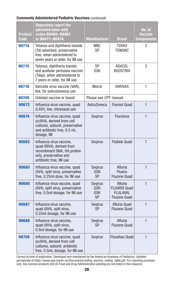#### Commonly Administered Pediatric Vaccines (*continued*)

| <b>Product</b><br>Code | <b>Separately report the</b><br>administration with<br>codes 90460-90461<br>or 90471-90474.                                                  | <b>Manufacturer</b>                       | <b>Brand</b>                                                             | No. of<br><b>Vaccine</b><br>Components |
|------------------------|----------------------------------------------------------------------------------------------------------------------------------------------|-------------------------------------------|--------------------------------------------------------------------------|----------------------------------------|
| 90714                  | Tetanus and diphtheria toxoids<br>(Td) adsorbed, preservative<br>free, when administered to<br>seven years or older, for IM use              | MBL<br><b>SP</b>                          | <b>TDVAX</b><br><b>TENIVAC</b>                                           | 2                                      |
| 90715                  | Tetanus, diphtheria toxoids<br>and acellular pertussis vaccine<br>(Tdap), when administered to<br>7 years or older, for IM use               | SP<br>GSK                                 | <b>ADACEL</b><br><b>BOOSTRIX</b>                                         | 3                                      |
| 90716                  | Varicella virus vaccine (VAR),<br>live, for subcutaneous use                                                                                 | Merck                                     | <b>VARIVAX</b>                                                           | 1                                      |
| 90749                  | Unlisted vaccine or toxoid                                                                                                                   | Please see CPT manual.                    |                                                                          |                                        |
| 90672                  | Influenza virus vaccine, quad<br>(LAIV), live, intranasal use                                                                                | AstraZeneca                               | <b>Flumist Quad</b>                                                      | $\mathbf{1}$                           |
| 90674                  | Influenza virus vaccine, quad<br>(cclIV4), derived from cell<br>cultures, subunit, preservative<br>and antibiotic free, 0.5 mL<br>dosage, IM | Segirus                                   | <b>Flucelvax</b>                                                         | $\mathbf{1}$                           |
| 90682                  | Influenza virus vaccine,<br>quad (RIV4), derived from<br>recombinant DNA, HA protein<br>only, preservative and<br>antibiotic free. IM use    | Segirus                                   | <b>Flublok Quad</b>                                                      | $\mathbf{1}$                           |
| 90685                  | Influenza virus vaccine, quad<br>(IIV4), split virus, preservative<br>free, 0.25ml dose, for IM use                                          | <b>Segirus</b><br><b>GSK</b><br><b>SP</b> | Afluria<br><b>Fluarix</b><br><b>Fluzone Quad</b>                         | $\mathbf{1}$                           |
| 90686                  | Influenza virus vaccine, quad<br>(IIV4), split virus, preservative<br>free, 0.5ml dosage, for IM use                                         | Segirus<br><b>GSK</b><br><b>GSK</b><br>SP | Afluria<br><b>FLUARIX Quad</b><br><b>FLULAVAL</b><br><b>Fluzone Quad</b> | $\mathbf{1}$                           |
| 90687                  | Influenza virus vaccine,<br>quad (IIV4), split virus,<br>0.25ml dosage, for IM use                                                           | <b>Segirus</b><br>SP                      | Afluria Quad<br><b>Fluzone Quad</b>                                      | $\mathbf{1}$                           |
| 90688                  | Influenza virus vaccine,<br>quad (IIV4), split virus,<br>0.5ml dosage, for IM use                                                            | Segirus<br>SP                             | Afluria<br><b>Fluzone Quad</b>                                           | 1                                      |
| 90756                  | Influenza virus vaccine, quad<br>(cclIV4), derived from cell<br>cultures, subunit, antibiotic<br>free, 0.5mL dosage, for IM use              | Segirus                                   | Flucelvax Quad                                                           | $\mathbf{1}$                           |

Current at time of publication. Developed and maintained by the American Academy of Pediatrics. Updated periodically at https://www.aap.org/en-us/Documents/coding\_vaccine\_coding\_table.pdf. For reporting purposes only. Any vaccine products still US Food and Drug Administration pending are not listed in this resource.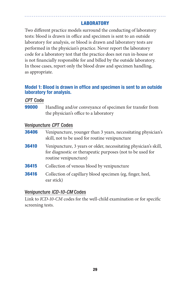# **LABORATORY**

Two different practice models surround the conducting of laboratory tests: blood is drawn in office and specimen is sent to an outside laboratory for analysis, or blood is drawn and laboratory tests are performed in the physician's practice. Never report the laboratory code for a laboratory test that the practice does not run in-house or is not financially responsible for and billed by the outside laboratory. In those cases, report only the blood draw and specimen handling, as appropriate.

## Model 1: Blood is drawn in office and specimen is sent to an outside laboratory for analysis.

## *CPT* Code

**99000** Handling and/or conveyance of specimen for transfer from the physician's office to a laboratory

## Venipuncture *CPT* Codes

| 36406 | Venipuncture, younger than 3 years, necessitating physician's |
|-------|---------------------------------------------------------------|
|       | skill, not to be used for routine venipuncture                |

- **36410** Venipuncture, 3 years or older, necessitating physician's skill, for diagnostic or therapeutic purposes (not to be used for routine venipuncture)
- **36415** Collection of venous blood by venipuncture
- **36416** Collection of capillary blood specimen (eg, finger, heel, ear stick)

# Venipuncture *ICD-10-CM* Codes

Link to *ICD-10-CM* codes for the well-child examination or for specific screening tests.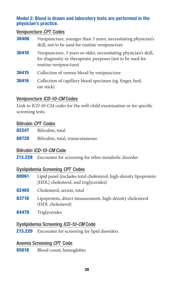## Model 2: Blood is drawn and laboratory tests are performed in the physician's practice.

## Venipuncture *CPT* Codes

| 36406 | Venipuncture, younger than 3 years, necessitating physician's<br>skill, not to be used for routine venipuncture                                         |
|-------|---------------------------------------------------------------------------------------------------------------------------------------------------------|
| 36410 | Venipuncture, 3 years or older, necessitating physician's skill,<br>for diagnostic or therapeutic purposes (not to be used for<br>routine venipuncture) |
| 36415 | Collection of venous blood by venipuncture                                                                                                              |
| 36416 | Collection of capillary blood specimen (eg, finger, heel,<br>ear stick)                                                                                 |

## Venipuncture *ICD-10-CM* Codes

Link to *ICD-10-CM* codes for the well-child examination or for specific screening tests.

## Bilirubin *CPT* Codes

- 82247 Bilirubin, total
- 88720 Bilirubin, total, transcutaneous

# Bilirubin *ICD-10-CM* Code

Z13.228 Encounter for screening for other metabolic disorder

## Dyslipidemia Screening *CPT* Codes

- 80061 Lipid panel (includes total cholesterol, high-density lipoprotein [HDL] cholesterol, and triglycerides]
- 82465 Cholesterol, serum, total
- 83718 Lipoprotein, direct measurement, high-density cholesterol (HDL cholesterol)
- 84478 Triglycerides

# Dyslipidemia Screening *ICD-10-CM* Code

**Z13.220** Encounter for screening for lipid disorders

# Anemia Screening *CPT* Code

85018 Blood count; hemoglobin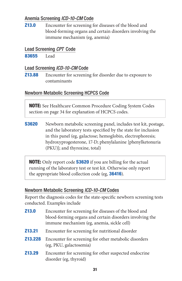# Anemia Screening *ICD-10-CM* Code

**Z13.0** Encounter for screening for diseases of the blood and blood-forming organs and certain disorders involving the immune mechanism (eg, anemia)

## Lead Screening *CPT* Code

**83655** Lead

# Lead Screening *ICD-10-CM* Code

**Z13.88** Encounter for screening for disorder due to exposure to contaminants

# Newborn Metabolic Screening HCPCS Code

**NOTE:** See Healthcare Common Procedure Coding System Codes section on page 34 for explanation of HCPCS codes.

**S3620** Newborn metabolic screening panel, includes test kit, postage, and the laboratory tests specified by the state for inclusion in this panel (eg, galactose; hemoglobin, electrophoresis; hydroxyprogesterone, 17-D; phenylalanine [phenylketonuria (PKU)]; and thyroxine, total)

**NOTE:** Only report code **S3620** if you are billing for the actual running of the laboratory test or test kit. Otherwise only report the appropriate blood collection code (eg, **36416**).

# Newborn Metabolic Screening *ICD-10-CM* Codes

Report the diagnosis codes for the state-specific newborn screening tests conducted. Examples include

| <b>Z13.0</b>  | Encounter for screening for diseases of the blood and<br>blood-forming organs and certain disorders involving the<br>immune mechanism (eg, anemia, sickle cell) |
|---------------|-----------------------------------------------------------------------------------------------------------------------------------------------------------------|
| <b>Z13.21</b> | Encounter for screening for nutritional disorder                                                                                                                |
| Z13.228       | Encounter for screening for other metabolic disorders<br>(eg, PKU, galactosemia)                                                                                |
| Z13.29        | Encounter for screening for other suspected endocrine<br>disorder (eg, thyroid)                                                                                 |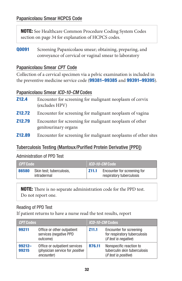NOTE: See Healthcare Common Procedure Coding System Codes section on page 34 for explanation of HCPCS codes.

**Q0091** Screening Papanicolaou smear; obtaining, preparing, and conveyance of cervical or vaginal smear to laboratory

## Papanicolaou Smear *CPT* Code

Collection of a cervical specimen via a pelvic examination is included in the preventive medicine service code (99381-99385 and 99391-99395).

## Papanicolaou Smear *ICD-10-CM* Codes

| <b>Z12.4</b>  | Encounter for screening for malignant neoplasm of cervix<br>(excludes HPV)      |
|---------------|---------------------------------------------------------------------------------|
| <b>Z12.72</b> | Encounter for screening for malignant neoplasm of vagina                        |
| Z12.79        | Encounter for screening for malignant neoplasm of other<br>genitourinary organs |
| <b>Z12.89</b> | Encounter for screening for malignant neoplasms of other sites                  |

# Tuberculosis Testing (Mantoux/Purified Protein Derivative [PPD])

## Administration of PPD Test

| <i>CPT</i> Code |                                         | <i>ICD-10-CM</i> Code |                                                         |
|-----------------|-----------------------------------------|-----------------------|---------------------------------------------------------|
| 86580           | Skin test; tuberculosis,<br>intradermal | Z11.1                 | Encounter for screening for<br>respiratory tuberculosis |

NOTE: There is no separate administration code for the PPD test. Do not report one.

## Reading of PPD Test

If patient returns to have a nurse read the test results, report

| <b>CPT Codes</b>   |                                                                                       | <i>ICD-10-CM</i> Codes |                                                                                  |
|--------------------|---------------------------------------------------------------------------------------|------------------------|----------------------------------------------------------------------------------|
| 99211              | Office or other outpatient<br>services (negative PPD<br>outcome)                      | Z <sub>11.1</sub>      | Encounter for screening<br>for respiratory tuberculosis<br>(if test is negative) |
| $99212 -$<br>99215 | Office or outpatient services<br>(physician service for <i>positive</i><br>encounter) | R76.11                 | Nonspecific reaction to<br>tuberculin skin tuberculosis<br>(if test is positive) |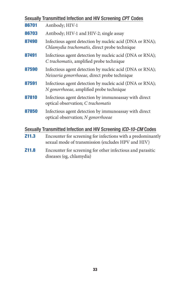| Sexually Transmitted Infection and HIV Screening CPT Codes       |                                                                                                           |  |  |
|------------------------------------------------------------------|-----------------------------------------------------------------------------------------------------------|--|--|
| 86701                                                            | Antibody; HIV-1                                                                                           |  |  |
| 86703                                                            | Antibody; HIV-1 and HIV-2; single assay                                                                   |  |  |
| 87490                                                            | Infectious agent detection by nucleic acid (DNA or RNA);<br>Chlamydia trachomatis, direct probe technique |  |  |
| 87491                                                            | Infectious agent detection by nucleic acid (DNA or RNA);<br>C trachomatis, amplified probe technique      |  |  |
| 87590                                                            | Infectious agent detection by nucleic acid (DNA or RNA);<br>Neisseria gonorrhoeae, direct probe technique |  |  |
| 87591                                                            | Infectious agent detection by nucleic acid (DNA or RNA);<br>N gonorrhoeae, amplified probe technique      |  |  |
| 87810                                                            | Infectious agent detection by immunoassay with direct<br>optical observation; C trachomatis               |  |  |
| 87850                                                            | Infectious agent detection by immunoassay with direct<br>optical observation; N gonorrhoeae               |  |  |
| Sexually Transmitted Infection and HIV Screening ICD-10-CM Codes |                                                                                                           |  |  |

- **211.3** Encounter for screening for infections with a predominantly sexual mode of transmission (excludes HPV and HIV)
- **Z11.8** Encounter for screening for other infectious and parasitic diseases (eg, chlamydia)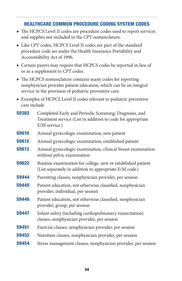# HEALTHCARE COMMON PROCEDURE CODING SYSTEM CODES

- ▶ The HCPCS Level II codes are procedure codes used to report services and supplies not included in the *CPT* nomenclature.
- ▶ Like *CPT* codes, HCPCS Level II codes are part of the standard procedure code set under the Health Insurance Portability and Accountability Act of 1996.
- ▶ Certain payers may require that HCPCS codes be reported in lieu of or as a supplement to *CPT* codes.
- ▶ The HCPCS nomenclature contains many codes for reporting nonphysician provider patient education, which can be an integral service in the provision of pediatric preventive care.
- ▶ Examples of HCPCS Level II codes relevant to pediatric preventive care include

| <b>S0302</b> | Completed Early and Periodic Screening, Diagnosis, and<br>Treatment service (List in addition to code for appropriate<br>E/M service.) |
|--------------|----------------------------------------------------------------------------------------------------------------------------------------|
| <b>S0610</b> | Annual gynecologic examination; new patient                                                                                            |
| <b>S0612</b> | Annual gynecologic examination; established patient                                                                                    |
| <b>S0613</b> | Annual gynecologic examination, clinical breast examination<br>without pelvic examination                                              |
| <b>S0622</b> | Routine examination for college, new or established patient<br>(List separately in addition to appropriate E/M code.)                  |
| <b>S9444</b> | Parenting classes, nonphysician provider, per session                                                                                  |
| <b>S9445</b> | Patient education, not otherwise classified, nonphysician<br>provider, individual, per session                                         |
| <b>S9446</b> | Patient education, not otherwise classified, nonphysician<br>provider, group, per session                                              |
| <b>S9447</b> | Infant safety (including cardiopulmonary resuscitation)<br>classes, nonphysician provider, per session                                 |
| <b>S9451</b> | Exercise classes, nonphysician provider, per session                                                                                   |
| <b>S9452</b> | Nutrition classes, nonphysician provider, per session                                                                                  |
| <b>S9454</b> | Stress management classes, nonphysician provider, per session                                                                          |
|              |                                                                                                                                        |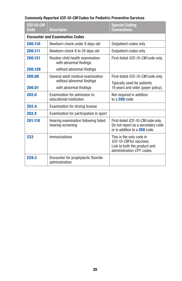## Commonly Reported *ICD-10-CM* Codes for Pediatric Preventive Services

| ICD-10-CM<br>Code | <b>Descriptor</b>                                          | <b>Special Coding</b><br><b>Conventions</b>                                                                      |  |  |
|-------------------|------------------------------------------------------------|------------------------------------------------------------------------------------------------------------------|--|--|
|                   | <b>Encounter and Examination Codes</b>                     |                                                                                                                  |  |  |
| Z00.110           | Newborn check under 8 days old                             | Outpatient codes only                                                                                            |  |  |
| Z00.111           | Newborn check 8 to 28 days old                             | Outpatient codes only                                                                                            |  |  |
| Z00.121           | Routine child health examination<br>with abnormal findings | First-listed ICD-10-CM code only.                                                                                |  |  |
| Z00.129           | without abnormal findings                                  |                                                                                                                  |  |  |
| Z00.00            | General adult medical examination                          | First-listed ICD-10-CM code only.                                                                                |  |  |
| Z00.01            | without abnormal findings<br>with abnormal findings        | Typically used for patients<br>18 years and older (payer policy).                                                |  |  |
| <b>Z02.0</b>      | Examination for admission to<br>educational institution    | Not required in addition<br>to a <b>Z00</b> code                                                                 |  |  |
| <b>Z02.4</b>      | <b>Examination for driving license</b>                     |                                                                                                                  |  |  |
| <b>Z02.5</b>      | Examination for participation in sport                     |                                                                                                                  |  |  |
| Z01.110           | Hearing examination following failed<br>hearing screening  | First-listed ICD-10-CM code only.<br>Do not report as a secondary code<br>or in addition to a <b>Z00</b> code.   |  |  |
| <b>Z23</b>        | Immunizations                                              | This is the only code in<br>ICD-10-CM for vaccines.<br>Link to both the product and<br>administration CPT codes. |  |  |
| <b>Z29.3</b>      | Encounter for prophylactic fluoride<br>administration      |                                                                                                                  |  |  |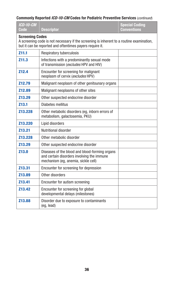## Commonly Reported *ICD-10-CM* Codes for Pediatric Preventive Services (*continued*)

| <b>ICD-10-CM</b><br>Code                                                                                                                                                       | <b>Descriptor</b>                                                                                                                   | <b>Special Coding</b><br><b>Conventions</b> |  |
|--------------------------------------------------------------------------------------------------------------------------------------------------------------------------------|-------------------------------------------------------------------------------------------------------------------------------------|---------------------------------------------|--|
| <b>Screening Codes</b><br>A screening code is not necessary if the screening is inherent to a routine examination,<br>but it can be reported and oftentimes payers require it. |                                                                                                                                     |                                             |  |
| Z11.1                                                                                                                                                                          | Respiratory tuberculosis                                                                                                            |                                             |  |
| Z11.3                                                                                                                                                                          | Infections with a predominantly sexual mode<br>of transmission (excludes HPV and HIV)                                               |                                             |  |
| <b>Z12.4</b>                                                                                                                                                                   | Encounter for screening for malignant<br>neoplasm of cervix (excludes HPV)                                                          |                                             |  |
| <b>Z12.79</b>                                                                                                                                                                  | Malignant neoplasm of other genitounary organs                                                                                      |                                             |  |
| <b>Z12.89</b>                                                                                                                                                                  | Malignant neoplasms of other sites                                                                                                  |                                             |  |
| Z13.29                                                                                                                                                                         | Other suspected endocrine disorder                                                                                                  |                                             |  |
| Z13.1                                                                                                                                                                          | Diabetes mellitus                                                                                                                   |                                             |  |
| Z13.228                                                                                                                                                                        | Other metabolic disorders (eg, inborn errors of<br>metabolism, galactosemia, PKU)                                                   |                                             |  |
| <b>Z13.220</b>                                                                                                                                                                 | Lipid disorders                                                                                                                     |                                             |  |
| <b>Z13.21</b>                                                                                                                                                                  | Nutritional disorder                                                                                                                |                                             |  |
| <b>Z13.228</b>                                                                                                                                                                 | Other metabolic disorder                                                                                                            |                                             |  |
| Z13.29                                                                                                                                                                         | Other suspected endocrine disorder                                                                                                  |                                             |  |
| <b>Z13.0</b>                                                                                                                                                                   | Diseases of the blood and blood-forming organs<br>and certain disorders involving the immune<br>mechanism (eg, anemia, sickle cell) |                                             |  |
| Z13.31                                                                                                                                                                         | Encounter for screening for depression                                                                                              |                                             |  |
| Z13.89                                                                                                                                                                         | Other disorders                                                                                                                     |                                             |  |
| Z13.41                                                                                                                                                                         | Encounter for autism screening                                                                                                      |                                             |  |
| Z13.42                                                                                                                                                                         | Encounter for screening for global<br>developmental delays (milestones)                                                             |                                             |  |
| Z13.88                                                                                                                                                                         | Disorder due to exposure to contaminants<br>(eq. lead)                                                                              |                                             |  |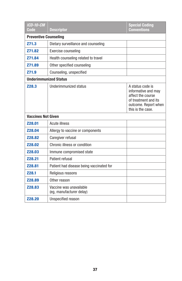| <b>ICD-10-CM</b><br>Code     | <b>Descriptor</b>                                   | <b>Special Coding</b><br><b>Conventions</b>                                                                                       |
|------------------------------|-----------------------------------------------------|-----------------------------------------------------------------------------------------------------------------------------------|
| <b>Preventive Counseling</b> |                                                     |                                                                                                                                   |
| Z71.3                        | Dietary surveillance and counseling                 |                                                                                                                                   |
| <b>Z71.82</b>                | Exercise counseling                                 |                                                                                                                                   |
| <b>Z71.84</b>                | Health counseling related to travel                 |                                                                                                                                   |
| <b>Z71.89</b>                | Other specified counseling                          |                                                                                                                                   |
| Z71.9                        | Counseling, unspecified                             |                                                                                                                                   |
| <b>Underimmunized Status</b> |                                                     |                                                                                                                                   |
| <b>Z28.3</b>                 | Underimmunized status                               | A status code is<br>informative and may<br>affect the course<br>of treatment and its<br>outcome. Report when<br>this is the case. |
| <b>Vaccines Not Given</b>    |                                                     |                                                                                                                                   |
| <b>Z28.01</b>                | <b>Acute illness</b>                                |                                                                                                                                   |
| <b>Z28.04</b>                | Allergy to vaccine or components                    |                                                                                                                                   |
| <b>Z28.82</b>                | Caregiver refusal                                   |                                                                                                                                   |
| <b>Z28.02</b>                | Chronic illness or condition                        |                                                                                                                                   |
| <b>Z28.03</b>                | Immune compromised state                            |                                                                                                                                   |
| <b>Z28.21</b>                | Patient refusal                                     |                                                                                                                                   |
| Z28.81                       | Patient had disease being vaccinated for            |                                                                                                                                   |
| Z28.1                        | Religious reasons                                   |                                                                                                                                   |
| <b>Z28.89</b>                | Other reason                                        |                                                                                                                                   |
| <b>Z28.83</b>                | Vaccine was unavailable<br>(eq. manufacturer delay) |                                                                                                                                   |
| <b>Z28.20</b>                | Unspecified reason                                  |                                                                                                                                   |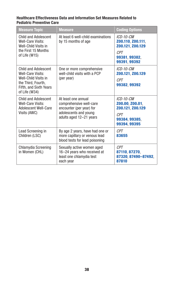#### Healthcare Effectiveness Data and Information Set Measures Related to Pediatric Preventive Care

| <b>Measure Topic</b>                                                                                                               | <b>Measure</b>                                                                                                                 | <b>Coding Options</b>                                                                                    |
|------------------------------------------------------------------------------------------------------------------------------------|--------------------------------------------------------------------------------------------------------------------------------|----------------------------------------------------------------------------------------------------------|
| <b>Child and Adolescent</b><br>Well-Care Visits:<br>Well-Child Visits in<br>the First 15 Months<br>of Life (W15)                   | At least 6 well-child examinations<br>by 15 months of age                                                                      | <i>ICD-10-CM</i><br>Z00.110, Z00.111,<br>Z00.121, Z00.129<br><b>CPT</b><br>99381, 99382,<br>99391, 99392 |
| Child and Adolescent<br>Well-Care Visits:<br>Well-Child Visits in<br>the Third, Fourth,<br>Fifth, and Sixth Years<br>of Life (W34) | One or more comprehensive<br>well-child visits with a PCP<br>(per year)                                                        | $ICD-10-CM$<br>Z00.121, Z00.129<br><b>CPT</b><br>99382.99392                                             |
| <b>Child and Adolescent</b><br>Well-Care Visits:<br>Adolescent Well-Care<br>Visits (AWC)                                           | At least one annual<br>comprehensive well-care<br>encounter (per year) for<br>adolescents and young<br>adults aged 12-21 years | ICD-10-CM<br>Z00.00, Z00.01,<br>Z00.121, Z00.129<br><b>CPT</b><br>99384, 99385.<br>99394, 99395          |
| Lead Screening in<br>Children (LSC)                                                                                                | By age 2 years, have had one or<br>more capillary or venous lead<br>blood tests for lead poisoning                             | <b>CPT</b><br>83655                                                                                      |
| Chlamydia Screening<br>in Women (CHL)                                                                                              | Sexually active women aged<br>16-24 years who received at<br>least one chlamydia test<br>each year                             | <b>CPT</b><br>87110, 87270.<br>87320, 87490-87492,<br>87810                                              |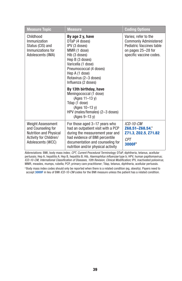| <b>Measure Topic</b>                                                                                                                                                                                                                                                                                                 | <b>Measure</b>                                                                                                                                                                                                     | <b>Coding Options</b>                                                                                                             |
|----------------------------------------------------------------------------------------------------------------------------------------------------------------------------------------------------------------------------------------------------------------------------------------------------------------------|--------------------------------------------------------------------------------------------------------------------------------------------------------------------------------------------------------------------|-----------------------------------------------------------------------------------------------------------------------------------|
| Childhood<br>By age 2 y, have<br>Immunization<br>DTaP (4 doses)<br>Status (CIS) and<br>IPV (3 doses)<br>Immunizations for<br>MMR (1 dose)<br>Adolescents (IMA)<br>Hib (3 doses)<br>Hep B (3 doses)<br>Varicella (1 dose)<br>Pneumococcal (4 doses)<br>Hep A (1 dose)<br>Rotavirus (2-3 doses)<br>Influenza (2 doses) |                                                                                                                                                                                                                    | Varies; refer to the<br><b>Commonly Administered</b><br>Pediatric Vaccines table<br>on pages 25–28 for<br>specific vaccine codes. |
|                                                                                                                                                                                                                                                                                                                      | By 13th birthday, have<br>Meningococcal (1 dose)<br>$(Ages 11-13 y)$<br>Tdap (1 dose)<br>$(Ages 10-13 y)$<br>HPV (males/females) (2-3 doses)<br>$(Ages 9-13 v)$                                                    |                                                                                                                                   |
| <b>Weight Assessment</b><br>and Counseling for<br><b>Nutrition and Physical</b><br>Activity for Children/<br>Adolescents (WCC)                                                                                                                                                                                       | For those aged 3–17 years who<br>had an outpatient visit with a PCP<br>during the measurement year and<br>had evidence of BMI percentile<br>documentation and counseling for<br>nutrition and/or physical activity | ICD-10-CM<br>Z68.51-Z68.54. <sup>a</sup><br>Z71.3, Z02.5, Z71.82<br><b>CPT</b><br>3000F <sup>a</sup>                              |

Abbreviations: BMI, body mass index; *CPT, Current Procedural Terminology;* DTaP, diphtheria, tetanus, acellular pertussis; Hep A, hepatitis A; Hep B, hepatitis B; Hib, *Haemophilus influenzae* type b; HPV, human papillomavirus; *ICD-10-CM, International Classification of Diseases, 10th Revision, Clinical Modification;* IPV, inactivated poliovirus; MMR, measles, mumps, rubella; PCP, primary care practitioner; Tdap, tetanus, diphtheria, acellular pertussis.

<sup>a</sup> Body mass index codes should only be reported when there is a related condition (eg, obesity). Payers need to accept 3000F in lieu of BMI *ICD-10-CM* codes for the BMI measure unless the patient has a related condition.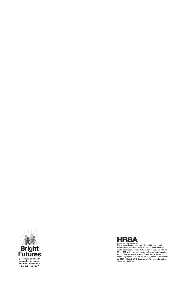



This program is supported by the Health Resources and<br>This program is supported by the Health Resources of the<br>Services Administration (HRSA) of the U.S. Department of<br>FS,000,000 with 10 percent financed with non-governmen